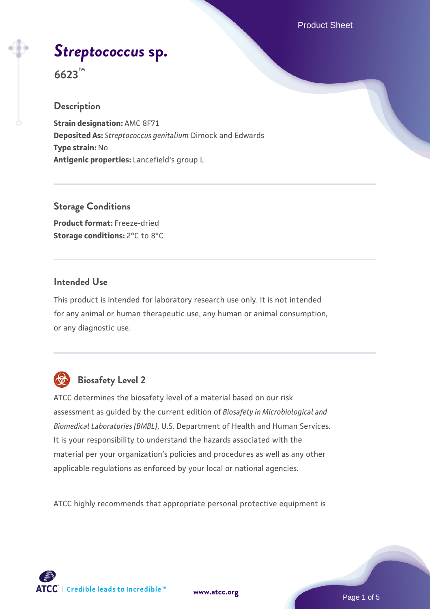Product Sheet

# *[Streptococcus](https://www.atcc.org/products/6623)* **[sp.](https://www.atcc.org/products/6623)**

**6623™**

### **Description**

**Strain designation:** AMC 8F71 **Deposited As:** *Streptococcus genitalium* Dimock and Edwards **Type strain:** No **Antigenic properties:** Lancefield's group L

**Storage Conditions Product format:** Freeze-dried **Storage conditions:** 2°C to 8°C

## **Intended Use**

This product is intended for laboratory research use only. It is not intended for any animal or human therapeutic use, any human or animal consumption, or any diagnostic use.



## **Biosafety Level 2**

ATCC determines the biosafety level of a material based on our risk assessment as guided by the current edition of *Biosafety in Microbiological and Biomedical Laboratories (BMBL)*, U.S. Department of Health and Human Services. It is your responsibility to understand the hazards associated with the material per your organization's policies and procedures as well as any other applicable regulations as enforced by your local or national agencies.

ATCC highly recommends that appropriate personal protective equipment is

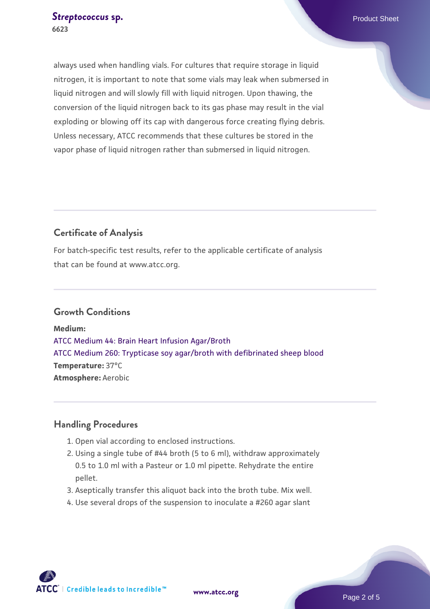always used when handling vials. For cultures that require storage in liquid nitrogen, it is important to note that some vials may leak when submersed in liquid nitrogen and will slowly fill with liquid nitrogen. Upon thawing, the conversion of the liquid nitrogen back to its gas phase may result in the vial exploding or blowing off its cap with dangerous force creating flying debris. Unless necessary, ATCC recommends that these cultures be stored in the vapor phase of liquid nitrogen rather than submersed in liquid nitrogen.

## **Certificate of Analysis**

For batch-specific test results, refer to the applicable certificate of analysis that can be found at www.atcc.org.

#### **Growth Conditions**

**Medium:**  [ATCC Medium 44: Brain Heart Infusion Agar/Broth](https://www.atcc.org/-/media/product-assets/documents/microbial-media-formulations/4/4/atcc-medium-44.pdf?rev=ce06ac4e5438493b896cd46c7d875629) [ATCC Medium 260: Trypticase soy agar/broth with defibrinated sheep blood](https://www.atcc.org/-/media/product-assets/documents/microbial-media-formulations/2/6/0/atcc-medium-0260.pdf?rev=5d6614780b1c4acf817a324e2507f087) **Temperature:** 37°C **Atmosphere:** Aerobic

## **Handling Procedures**

- 1. Open vial according to enclosed instructions.
- 2. Using a single tube of #44 broth (5 to 6 ml), withdraw approximately 0.5 to 1.0 ml with a Pasteur or 1.0 ml pipette. Rehydrate the entire pellet.
- 3. Aseptically transfer this aliquot back into the broth tube. Mix well.
- 4. Use several drops of the suspension to inoculate a #260 agar slant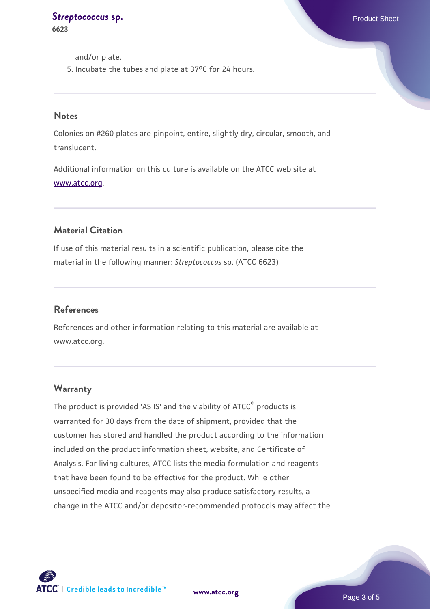**[Streptococcus](https://www.atcc.org/products/6623) [sp.](https://www.atcc.org/products/6623) Product Sheet Streptococcus** sp. **6623**

and/or plate.

5. Incubate the tubes and plate at  $37^{\circ}$ C for 24 hours.

#### **Notes**

Colonies on #260 plates are pinpoint, entire, slightly dry, circular, smooth, and translucent.

Additional information on this culture is available on the ATCC web site at [www.atcc.org.](http://www.atcc.org/)

## **Material Citation**

If use of this material results in a scientific publication, please cite the material in the following manner: *Streptococcus* sp. (ATCC 6623)

#### **References**

References and other information relating to this material are available at www.atcc.org.

#### **Warranty**

The product is provided 'AS IS' and the viability of ATCC® products is warranted for 30 days from the date of shipment, provided that the customer has stored and handled the product according to the information included on the product information sheet, website, and Certificate of Analysis. For living cultures, ATCC lists the media formulation and reagents that have been found to be effective for the product. While other unspecified media and reagents may also produce satisfactory results, a change in the ATCC and/or depositor-recommended protocols may affect the



**[www.atcc.org](http://www.atcc.org)**

Page 3 of 5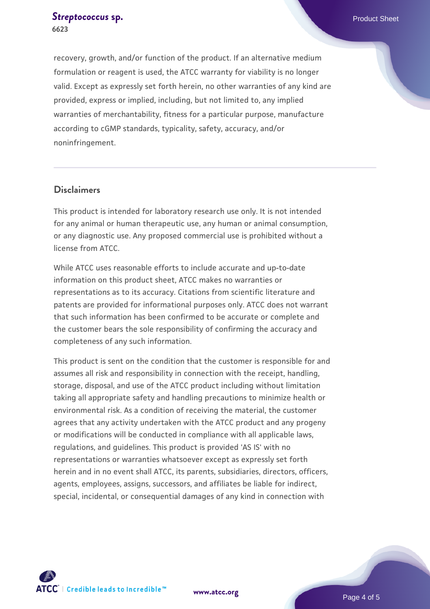#### **[Streptococcus](https://www.atcc.org/products/6623) [sp.](https://www.atcc.org/products/6623) Product Sheet Streptococcus** sp. **6623**

recovery, growth, and/or function of the product. If an alternative medium formulation or reagent is used, the ATCC warranty for viability is no longer valid. Except as expressly set forth herein, no other warranties of any kind are provided, express or implied, including, but not limited to, any implied warranties of merchantability, fitness for a particular purpose, manufacture according to cGMP standards, typicality, safety, accuracy, and/or noninfringement.

#### **Disclaimers**

This product is intended for laboratory research use only. It is not intended for any animal or human therapeutic use, any human or animal consumption, or any diagnostic use. Any proposed commercial use is prohibited without a license from ATCC.

While ATCC uses reasonable efforts to include accurate and up-to-date information on this product sheet, ATCC makes no warranties or representations as to its accuracy. Citations from scientific literature and patents are provided for informational purposes only. ATCC does not warrant that such information has been confirmed to be accurate or complete and the customer bears the sole responsibility of confirming the accuracy and completeness of any such information.

This product is sent on the condition that the customer is responsible for and assumes all risk and responsibility in connection with the receipt, handling, storage, disposal, and use of the ATCC product including without limitation taking all appropriate safety and handling precautions to minimize health or environmental risk. As a condition of receiving the material, the customer agrees that any activity undertaken with the ATCC product and any progeny or modifications will be conducted in compliance with all applicable laws, regulations, and guidelines. This product is provided 'AS IS' with no representations or warranties whatsoever except as expressly set forth herein and in no event shall ATCC, its parents, subsidiaries, directors, officers, agents, employees, assigns, successors, and affiliates be liable for indirect, special, incidental, or consequential damages of any kind in connection with